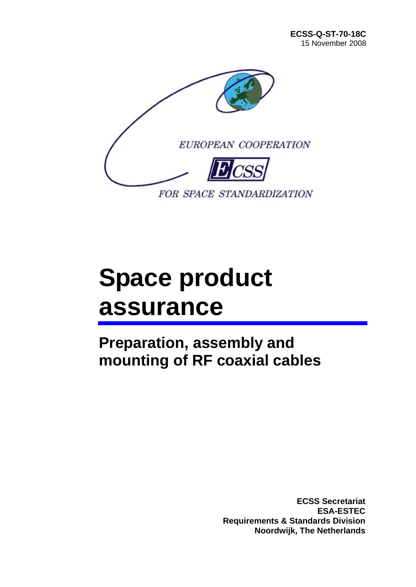

# **Space product assurance**

**Preparation, assembly and mounting of RF coaxial cables** 

> **ECSS Secretariat ESA-ESTEC Requirements & Standards Division Noordwijk, The Netherlands**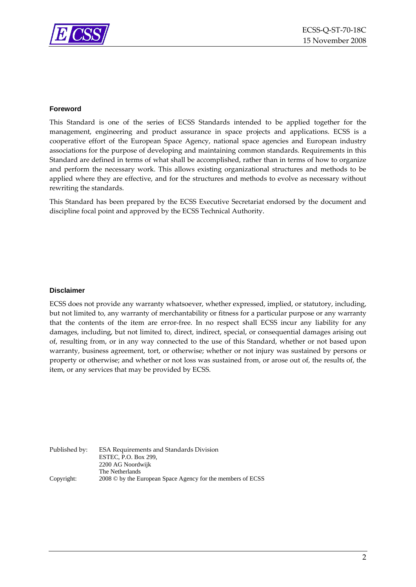

#### **Foreword**

This Standard is one of the series of ECSS Standards intended to be applied together for the management, engineering and product assurance in space projects and applications. ECSS is a cooperative effort of the European Space Agency, national space agencies and European industry associations for the purpose of developing and maintaining common standards. Requirements in this Standard are defined in terms of what shall be accomplished, rather than in terms of how to organize and perform the necessary work. This allows existing organizational structures and methods to be applied where they are effective, and for the structures and methods to evolve as necessary without rewriting the standards.

This Standard has been prepared by the ECSS Executive Secretariat endorsed by the document and discipline focal point and approved by the ECSS Technical Authority.

#### **Disclaimer**

ECSS does not provide any warranty whatsoever, whether expressed, implied, or statutory, including, but not limited to, any warranty of merchantability or fitness for a particular purpose or any warranty that the contents of the item are error‐free. In no respect shall ECSS incur any liability for any damages, including, but not limited to, direct, indirect, special, or consequential damages arising out of, resulting from, or in any way connected to the use of this Standard, whether or not based upon warranty, business agreement, tort, or otherwise; whether or not injury was sustained by persons or property or otherwise; and whether or not loss was sustained from, or arose out of, the results of, the item, or any services that may be provided by ECSS.

Published by: ESA Requirements and Standards Division ESTEC, P.O. Box 299, 2200 AG Noordwijk The Netherlands Copyright: 2008 © by the European Space Agency for the members of ECSS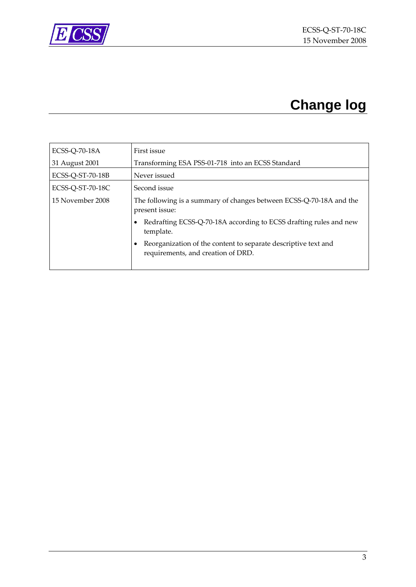<span id="page-2-0"></span>

## **Change log**

| <b>ECSS-Q-70-18A</b> | First issue                                                                                          |
|----------------------|------------------------------------------------------------------------------------------------------|
| 31 August 2001       | Transforming ESA PSS-01-718 into an ECSS Standard                                                    |
| ECSS-Q-ST-70-18B     | Never issued                                                                                         |
| ECSS-Q-ST-70-18C     | Second issue                                                                                         |
| 15 November 2008     | The following is a summary of changes between ECSS-Q-70-18A and the<br>present issue:                |
|                      | Redrafting ECSS-Q-70-18A according to ECSS drafting rules and new<br>template.                       |
|                      | Reorganization of the content to separate descriptive text and<br>requirements, and creation of DRD. |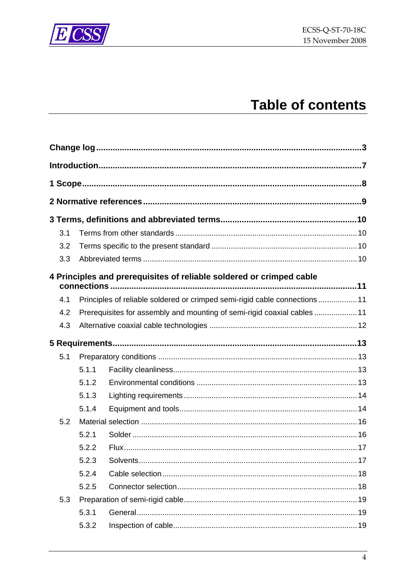



## **Table of contents**

| 3.1 |       |                                                                             |  |
|-----|-------|-----------------------------------------------------------------------------|--|
| 3.2 |       |                                                                             |  |
| 3.3 |       |                                                                             |  |
|     |       | 4 Principles and prerequisites of reliable soldered or crimped cable        |  |
| 4.1 |       | Principles of reliable soldered or crimped semi-rigid cable connections  11 |  |
| 4.2 |       | Prerequisites for assembly and mounting of semi-rigid coaxial cables  11    |  |
| 4.3 |       |                                                                             |  |
|     |       |                                                                             |  |
|     |       |                                                                             |  |
| 5.1 |       |                                                                             |  |
|     | 5.1.1 |                                                                             |  |
|     | 5.1.2 |                                                                             |  |
|     | 5.1.3 |                                                                             |  |
|     | 5.1.4 |                                                                             |  |
| 5.2 |       |                                                                             |  |
|     | 5.2.1 |                                                                             |  |
|     | 5.2.2 |                                                                             |  |
|     | 5.2.3 |                                                                             |  |
|     | 5.2.4 |                                                                             |  |
|     | 5.2.5 |                                                                             |  |
| 5.3 |       |                                                                             |  |
|     | 5.3.1 |                                                                             |  |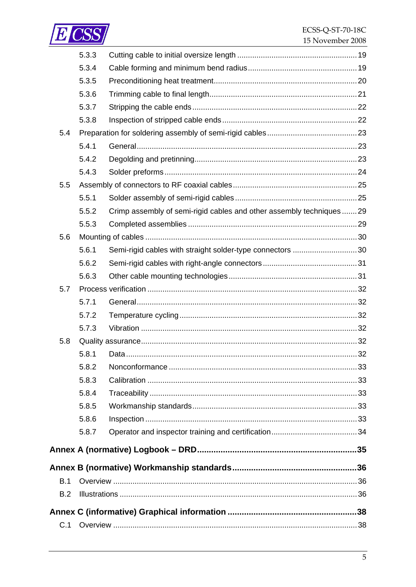

|     | 5.3.3 |                                                                     |  |
|-----|-------|---------------------------------------------------------------------|--|
|     | 5.3.4 |                                                                     |  |
|     | 5.3.5 |                                                                     |  |
|     | 5.3.6 |                                                                     |  |
|     | 5.3.7 |                                                                     |  |
|     | 5.3.8 |                                                                     |  |
| 5.4 |       |                                                                     |  |
|     | 5.4.1 |                                                                     |  |
|     | 5.4.2 |                                                                     |  |
|     | 5.4.3 |                                                                     |  |
| 5.5 |       |                                                                     |  |
|     | 5.5.1 |                                                                     |  |
|     | 5.5.2 | Crimp assembly of semi-rigid cables and other assembly techniques29 |  |
|     | 5.5.3 |                                                                     |  |
| 5.6 |       |                                                                     |  |
|     | 5.6.1 | Semi-rigid cables with straight solder-type connectors 30           |  |
|     | 5.6.2 |                                                                     |  |
|     | 5.6.3 |                                                                     |  |
| 5.7 |       |                                                                     |  |
|     | 5.7.1 |                                                                     |  |
|     | 5.7.2 |                                                                     |  |
|     | 5.7.3 |                                                                     |  |
| 5.8 |       |                                                                     |  |
|     | 5.8.1 |                                                                     |  |
|     | 5.8.2 |                                                                     |  |
|     | 5.8.3 |                                                                     |  |
|     | 5.8.4 |                                                                     |  |
|     | 5.8.5 |                                                                     |  |
|     | 5.8.6 |                                                                     |  |
|     | 5.8.7 |                                                                     |  |
|     |       |                                                                     |  |
|     |       |                                                                     |  |
| B.1 |       |                                                                     |  |
| B.2 |       |                                                                     |  |
|     |       |                                                                     |  |
| C.1 |       |                                                                     |  |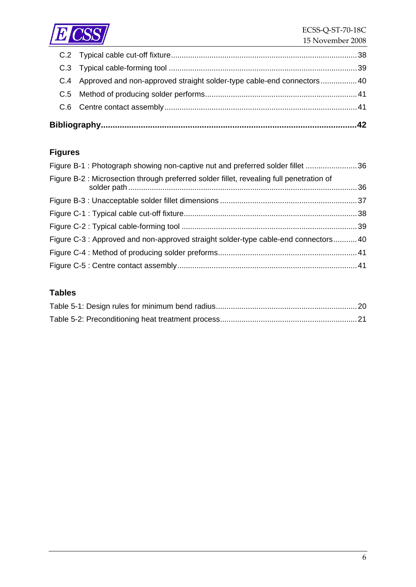

|  | C.4 Approved and non-approved straight solder-type cable-end connectors 40 |  |
|--|----------------------------------------------------------------------------|--|
|  |                                                                            |  |
|  |                                                                            |  |
|  |                                                                            |  |

## **Figures**

| Figure B-1: Photograph showing non-captive nut and preferred solder fillet 36           |  |
|-----------------------------------------------------------------------------------------|--|
| Figure B-2: Microsection through preferred solder fillet, revealing full penetration of |  |
|                                                                                         |  |
|                                                                                         |  |
|                                                                                         |  |
| Figure C-3 : Approved and non-approved straight solder-type cable-end connectors40      |  |
|                                                                                         |  |
|                                                                                         |  |

#### **Tables**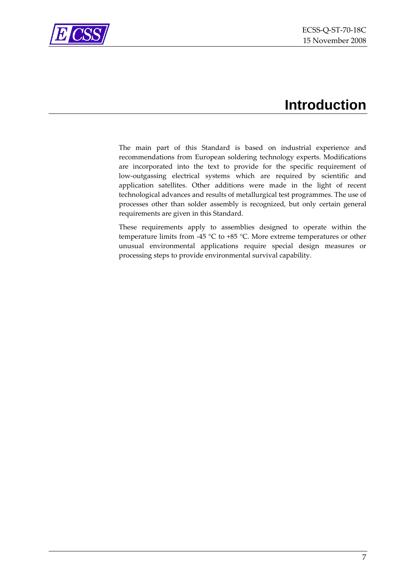

<span id="page-6-0"></span>

## **Introduction**

The main part of this Standard is based on industrial experience and recommendations from European soldering technology experts. Modifications are incorporated into the text to provide for the specific requirement of low‐outgassing electrical systems which are required by scientific and application satellites. Other additions were made in the light of recent technological advances and results of metallurgical test programmes. The use of processes other than solder assembly is recognized, but only certain general requirements are given in this Standard.

These requirements apply to assemblies designed to operate within the temperature limits from ‐45 °C to +85 °C. More extreme temperatures or other unusual environmental applications require special design measures or processing steps to provide environmental survival capability.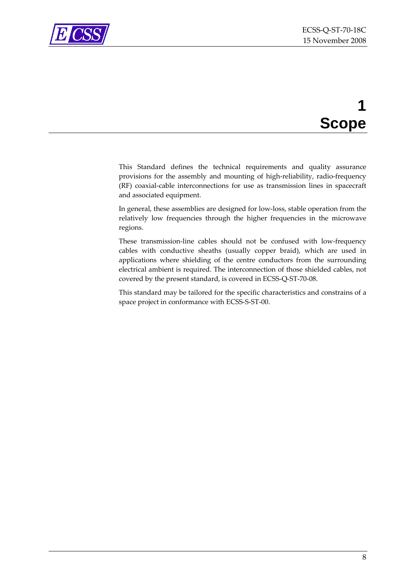<span id="page-7-0"></span>

## **1 Scope**

This Standard defines the technical requirements and quality assurance provisions for the assembly and mounting of high‐reliability, radio‐frequency (RF) coaxial‐cable interconnections for use as transmission lines in spacecraft and associated equipment.

In general, these assemblies are designed for low‐loss, stable operation from the relatively low frequencies through the higher frequencies in the microwave regions.

These transmission-line cables should not be confused with low-frequency cables with conductive sheaths (usually copper braid), which are used in applications where shielding of the centre conductors from the surrounding electrical ambient is required. The interconnection of those shielded cables, not covered by the present standard, is covered in ECSS‐Q‐ST‐70‐08.

This standard may be tailored for the specific characteristics and constrains of a space project in conformance with ECSS‐S‐ST‐00.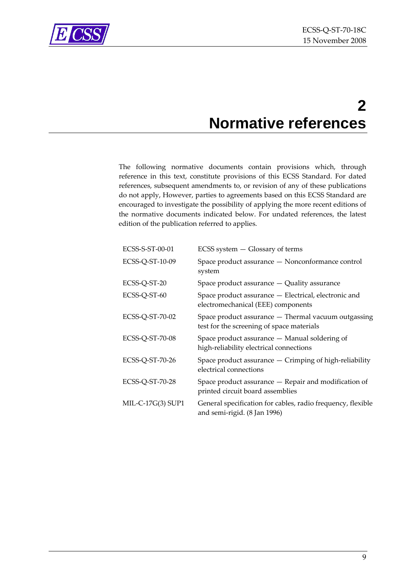<span id="page-8-0"></span>

## **2 Normative references**

The following normative documents contain provisions which, through reference in this text, constitute provisions of this ECSS Standard. For dated references, subsequent amendments to, or revision of any of these publications do not apply, However, parties to agreements based on this ECSS Standard are encouraged to investigate the possibility of applying the more recent editions of the normative documents indicated below. For undated references, the latest edition of the publication referred to applies.

| ECSS-S-ST-00-01   | ECSS system - Glossary of terms                                                                  |
|-------------------|--------------------------------------------------------------------------------------------------|
| ECSS-Q-ST-10-09   | Space product assurance - Nonconformance control<br>system                                       |
| ECSS-Q-ST-20      | Space product assurance - Quality assurance                                                      |
| ECSS-Q-ST-60      | Space product assurance - Electrical, electronic and<br>electromechanical (EEE) components       |
| ECSS-Q-ST-70-02   | Space product assurance - Thermal vacuum outgassing<br>test for the screening of space materials |
| ECSS-Q-ST-70-08   | Space product assurance – Manual soldering of<br>high-reliability electrical connections         |
| ECSS-Q-ST-70-26   | Space product assurance - Crimping of high-reliability<br>electrical connections                 |
| ECSS-Q-ST-70-28   | Space product assurance - Repair and modification of<br>printed circuit board assemblies         |
| MIL-C-17G(3) SUP1 | General specification for cables, radio frequency, flexible<br>and semi-rigid. (8 Jan 1996)      |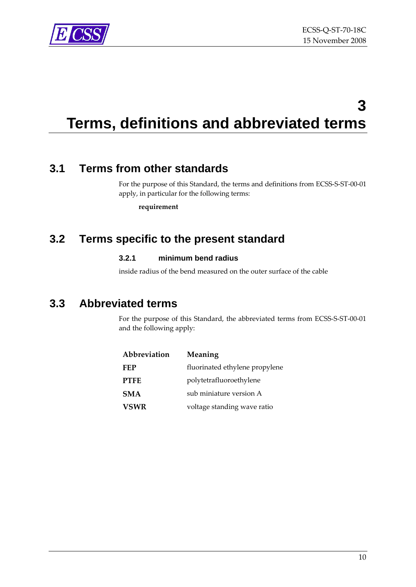<span id="page-9-0"></span>

## **3 Terms, definitions and abbreviated terms**

## **3.1 Terms from other standards**

For the purpose of this Standard, the terms and definitions from ECSS-S-ST-00-01 apply, in particular for the following terms:

**requirement**

### **3.2 Terms specific to the present standard**

#### **3.2.1 minimum bend radius**

inside radius of the bend measured on the outer surface of the cable

### **3.3 Abbreviated terms**

For the purpose of this Standard, the abbreviated terms from ECSS-S-ST-00-01 and the following apply:

| Abbreviation | Meaning                        |
|--------------|--------------------------------|
| <b>FEP</b>   | fluorinated ethylene propylene |
| <b>PTFE</b>  | polytetrafluoroethylene        |
| <b>SMA</b>   | sub miniature version A        |
| <b>VSWR</b>  | voltage standing wave ratio    |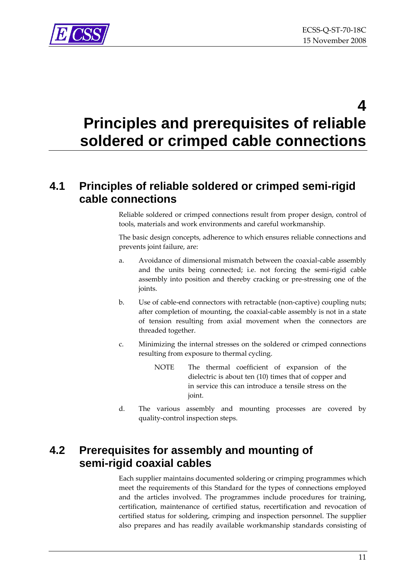<span id="page-10-0"></span>

**4** 

## **Principles and prerequisites of reliable soldered or crimped cable connections**

## **4.1 Principles of reliable soldered or crimped semi-rigid cable connections**

Reliable soldered or crimped connections result from proper design, control of tools, materials and work environments and careful workmanship.

The basic design concepts, adherence to which ensures reliable connections and prevents joint failure, are:

- a. Avoidance of dimensional mismatch between the coaxial-cable assembly and the units being connected; i.e. not forcing the semi‐rigid cable assembly into position and thereby cracking or pre‐stressing one of the joints.
- b. Use of cable‐end connectors with retractable (non‐captive) coupling nuts; after completion of mounting, the coaxial‐cable assembly is not in a state of tension resulting from axial movement when the connectors are threaded together.
- c. Minimizing the internal stresses on the soldered or crimped connections resulting from exposure to thermal cycling.
	- NOTE The thermal coefficient of expansion of the dielectric is about ten (10) times that of copper and in service this can introduce a tensile stress on the joint.
- d. The various assembly and mounting processes are covered by quality‐control inspection steps.

## **4.2 Prerequisites for assembly and mounting of semi-rigid coaxial cables**

Each supplier maintains documented soldering or crimping programmes which meet the requirements of this Standard for the types of connections employed and the articles involved. The programmes include procedures for training, certification, maintenance of certified status, recertification and revocation of certified status for soldering, crimping and inspection personnel. The supplier also prepares and has readily available workmanship standards consisting of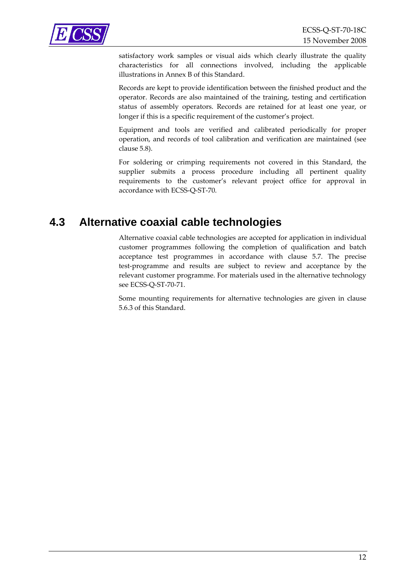<span id="page-11-0"></span>

satisfactory work samples or visual aids which clearly illustrate the quality characteristics for all connections involved, including the applicable illustrations in [Annex](#page-35-1) B of this Standard.

Records are kept to provide identification between the finished product and the operator. Records are also maintained of the training, testing and certification status of assembly operators. Records are retained for at least one year, or longer if this is a specific requirement of the customer's project.

Equipment and tools are verified and calibrated periodically for proper operation, and records of tool calibration and verification are maintained (see clause [5.8\)](#page-31-1).

For soldering or crimping requirements not covered in this Standard, the supplier submits a process procedure including all pertinent quality requirements to the customer's relevant project office for approval in accordance with ECSS‐Q‐ST‐70.

### **4.3 Alternative coaxial cable technologies**

Alternative coaxial cable technologies are accepted for application in individual customer programmes following the completion of qualification and batch acceptance test programmes in accordance with clause [5.7.](#page-31-2) The precise test‐programme and results are subject to review and acceptance by the relevant customer programme. For materials used in the alternative technology see ECSS‐Q‐ST‐70‐71.

Some mounting requirements for alternative technologies are given in clause [5.6.3](#page-30-1) of this Standard.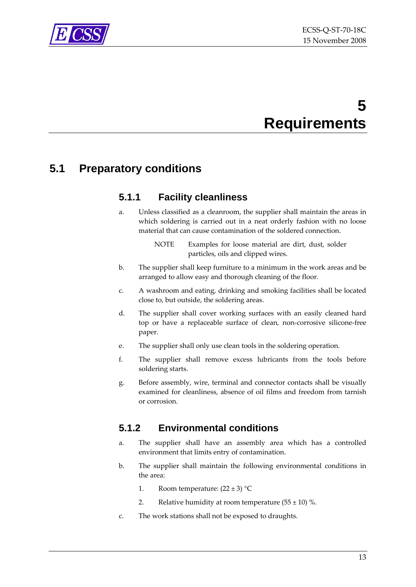<span id="page-12-0"></span>

## **5 Requirements**

## **5.1 Preparatory conditions**

### **5.1.1 Facility cleanliness**

- a. Unless classified as a cleanroom, the supplier shall maintain the areas in which soldering is carried out in a neat orderly fashion with no loose material that can cause contamination of the soldered connection.
	- NOTE Examples for loose material are dirt, dust, solder particles, oils and clipped wires.
- b. The supplier shall keep furniture to a minimum in the work areas and be arranged to allow easy and thorough cleaning of the floor.
- c. A washroom and eating, drinking and smoking facilities shall be located close to, but outside, the soldering areas.
- d. The supplier shall cover working surfaces with an easily cleaned hard top or have a replaceable surface of clean, non‐corrosive silicone‐free paper.
- e. The supplier shall only use clean tools in the soldering operation.
- f. The supplier shall remove excess lubricants from the tools before soldering starts.
- g. Before assembly, wire, terminal and connector contacts shall be visually examined for cleanliness, absence of oil films and freedom from tarnish or corrosion.

### **5.1.2 Environmental conditions**

- a. The supplier shall have an assembly area which has a controlled environment that limits entry of contamination.
- b. The supplier shall maintain the following environmental conditions in the area:
	- 1. Room temperature:  $(22 \pm 3)$  °C
	- 2. Relative humidity at room temperature  $(55 \pm 10)$  %.
- c. The work stations shall not be exposed to draughts.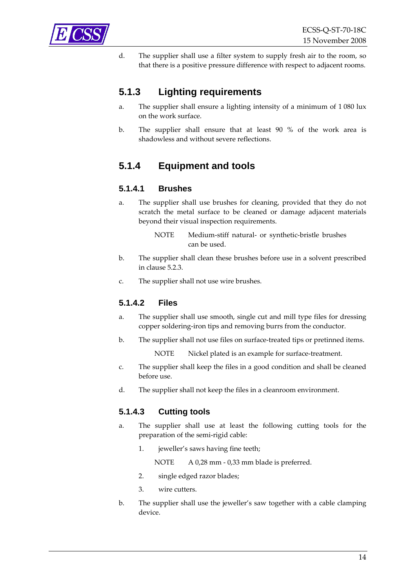<span id="page-13-0"></span>

d. The supplier shall use a filter system to supply fresh air to the room, so that there is a positive pressure difference with respect to adjacent rooms.

### **5.1.3 Lighting requirements**

- a. The supplier shall ensure a lighting intensity of a minimum of 1 080 lux on the work surface.
- b. The supplier shall ensure that at least 90 % of the work area is shadowless and without severe reflections.

### **5.1.4 Equipment and tools**

#### **5.1.4.1 Brushes**

- a. The supplier shall use brushes for cleaning, provided that they do not scratch the metal surface to be cleaned or damage adjacent materials beyond their visual inspection requirements.
	- NOTE Medium-stiff natural- or synthetic-bristle brushes can be used.
- b. The supplier shall clean these brushes before use in a solvent prescribed in clause [5.2.3.](#page-16-1)
- c. The supplier shall not use wire brushes.

#### **5.1.4.2 Files**

- a. The supplier shall use smooth, single cut and mill type files for dressing copper soldering‐iron tips and removing burrs from the conductor.
- b. The supplier shall not use files on surface-treated tips or pretinned items.
	- NOTE Nickel plated is an example for surface-treatment.
- c. The supplier shall keep the files in a good condition and shall be cleaned before use.
- d. The supplier shall not keep the files in a cleanroom environment.

#### **5.1.4.3 Cutting tools**

- a. The supplier shall use at least the following cutting tools for the preparation of the semi‐rigid cable:
	- 1. jeweller's saws having fine teeth;
		- NOTE A 0,28 mm 0,33 mm blade is preferred.
	- 2. single edged razor blades;
	- 3. wire cutters.
- b. The supplier shall use the jeweller's saw together with a cable clamping device.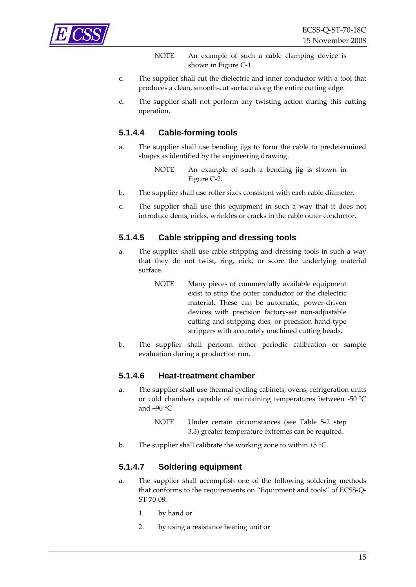

NOTE An example of such a cable clamping device is shown in [Figure](#page-37-1) C-1.

- c. The supplier shall cut the dielectric and inner conductor with a tool that produces a clean, smooth‐cut surface along the entire cutting edge.
- d. The supplier shall not perform any twisting action during this cutting operation.

#### **5.1.4.4 Cable-forming tools**

- a. The supplier shall use bending jigs to form the cable to predetermined shapes as identified by the engineering drawing.
	- NOTE An example of such a bending jig is shown in [Figure](#page-38-1) C‐2.
- b. The supplier shall use roller sizes consistent with each cable diameter.
- c. The supplier shall use this equipment in such a way that it does not introduce dents, nicks, wrinkles or cracks in the cable outer conductor.

#### **5.1.4.5 Cable stripping and dressing tools**

- <span id="page-14-0"></span>a. The supplier shall use cable stripping and dressing tools in such a way that they do not twist, ring, nick, or score the underlying material surface.
	- NOTE Many pieces of commercially available equipment exist to strip the outer conductor or the dielectric material. These can be automatic, power-driven devices with precision factory‐set non‐adjustable cutting and stripping dies, or precision hand‐type strippers with accurately machined cutting heads.
- b. The supplier shall perform either periodic calibration or sample evaluation during a production run.

#### **5.1.4.6 Heat-treatment chamber**

- a. The supplier shall use thermal cycling cabinets, ovens, refrigeration units or cold chambers capable of maintaining temperatures between ‐50 °C and  $+90$  °C
	- NOTE Under certain circumstances (see [Table](#page-20-1) 5‐2 step 3.3) greater temperature extremes can be required.
- b. The supplier shall calibrate the working zone to within ±5 °C.

#### <span id="page-14-1"></span>**5.1.4.7 Soldering equipment**

- a. The supplier shall accomplish one of the following soldering methods that conforms to the requirements on "Equipment and tools" of ECSS‐Q‐ ST‐70‐08:
	- 1. by hand or
	- 2. by using a resistance heating unit or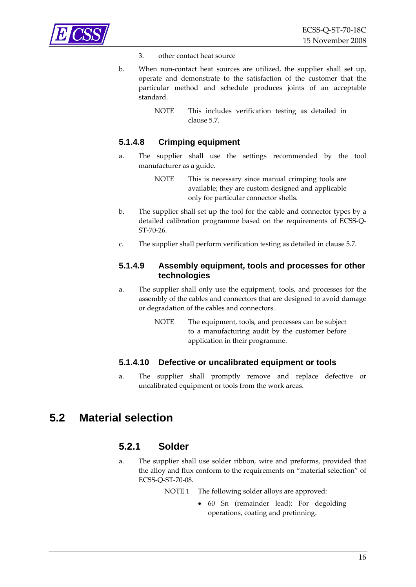<span id="page-15-0"></span>

- 3. other contact heat source
- b. When non‐contact heat sources are utilized, the supplier shall set up, operate and demonstrate to the satisfaction of the customer that the particular method and schedule produces joints of an acceptable standard.
	- NOTE This includes verification testing as detailed in clause [5.7.](#page-31-2)

#### **5.1.4.8 Crimping equipment**

- a. The supplier shall use the settings recommended by the tool manufacturer as a guide.
	- NOTE This is necessary since manual crimping tools are available; they are custom designed and applicable only for particular connector shells.
- b. The supplier shall set up the tool for the cable and connector types by a detailed calibration programme based on the requirements of ECSS‐Q‐ ST‐70‐26.
- c. The supplier shall perform verification testing as detailed in clause [5.7](#page-31-2).

#### **5.1.4.9 Assembly equipment, tools and processes for other technologies**

- a. The supplier shall only use the equipment, tools, and processes for the assembly of the cables and connectors that are designed to avoid damage or degradation of the cables and connectors.
	- NOTE The equipment, tools, and processes can be subject to a manufacturing audit by the customer before application in their programme.

#### **5.1.4.10 Defective or uncalibrated equipment or tools**

a. The supplier shall promptly remove and replace defective or uncalibrated equipment or tools from the work areas.

### <span id="page-15-1"></span>**5.2 Material selection**

#### **5.2.1 Solder**

a. The supplier shall use solder ribbon, wire and preforms, provided that the alloy and flux conform to the requirements on "material selection" of ECSS‐Q‐ST‐70‐08.

NOTE 1 The following solder alloys are approved:

• 60 Sn (remainder lead): For degolding operations, coating and pretinning.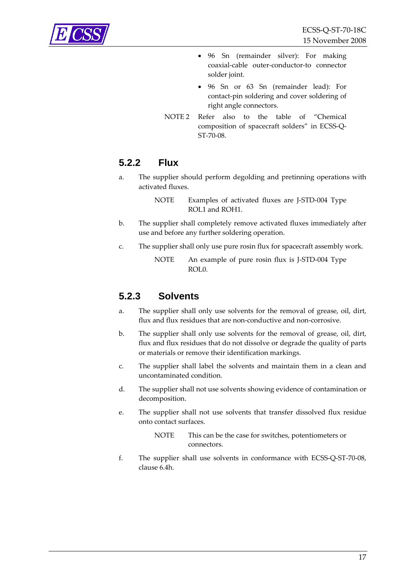<span id="page-16-0"></span>

- 96 Sn (remainder silver): For making coaxial‐cable outer‐conductor‐to connector solder joint.
- 96 Sn or 63 Sn (remainder lead): For contact‐pin soldering and cover soldering of right angle connectors.
- NOTE 2 Refer also to the table of "Chemical composition of spacecraft solders" in ECSS‐Q‐ ST‐70‐08.

#### **5.2.2 Flux**

a. The supplier should perform degolding and pretinning operations with activated fluxes.

> NOTE Examples of activated fluxes are J-STD-004 Type ROL1 and ROH1.

- b. The supplier shall completely remove activated fluxes immediately after use and before any further soldering operation.
- c. The supplier shall only use pure rosin flux for spacecraft assembly work.

NOTE An example of pure rosin flux is J-STD-004 Type ROL0.

#### <span id="page-16-1"></span>**5.2.3 Solvents**

- a. The supplier shall only use solvents for the removal of grease, oil, dirt, flux and flux residues that are non‐conductive and non‐corrosive.
- b. The supplier shall only use solvents for the removal of grease, oil, dirt, flux and flux residues that do not dissolve or degrade the quality of parts or materials or remove their identification markings.
- c. The supplier shall label the solvents and maintain them in a clean and uncontaminated condition.
- d. The supplier shall not use solvents showing evidence of contamination or decomposition.
- e. The supplier shall not use solvents that transfer dissolved flux residue onto contact surfaces.

NOTE This can be the case for switches, potentiometers or connectors.

f. The supplier shall use solvents in conformance with ECSS‐Q‐ST‐70‐08, clause 6.4h.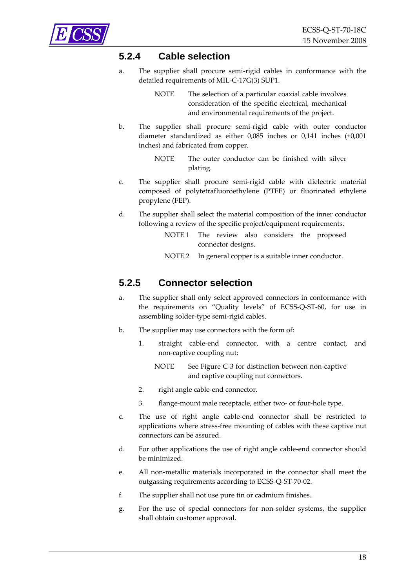<span id="page-17-0"></span>

#### **5.2.4 Cable selection**

a. The supplier shall procure semi‐rigid cables in conformance with the detailed requirements of MIL‐C‐17G(3) SUP1.

> NOTE The selection of a particular coaxial cable involves consideration of the specific electrical, mechanical and environmental requirements of the project.

b. The supplier shall procure semi‐rigid cable with outer conductor diameter standardized as either 0,085 inches or 0,141 inches (±0,001 inches) and fabricated from copper.

> NOTE The outer conductor can be finished with silver plating.

- c. The supplier shall procure semi‐rigid cable with dielectric material composed of polytetrafluoroethylene (PTFE) or fluorinated ethylene propylene (FEP).
- d. The supplier shall select the material composition of the inner conductor following a review of the specific project/equipment requirements.
	- NOTE 1 The review also considers the proposed connector designs.
	- NOTE 2 In general copper is a suitable inner conductor.

#### **5.2.5 Connector selection**

- a. The supplier shall only select approved connectors in conformance with the requirements on "Quality levels" of ECSS‐Q‐ST‐60, for use in assembling solder‐type semi‐rigid cables.
- b. The supplier may use connectors with the form of:
	- 1. straight cable-end connector, with a centre contact, and non‐captive coupling nut;
		- NOTE See [Figure](#page-39-1) C-3 for distinction between non-captive and captive coupling nut connectors.
	- 2. right angle cable-end connector.
	- 3. flange‐mount male receptacle, either two‐ or four‐hole type.
- c. The use of right angle cable‐end connector shall be restricted to applications where stress‐free mounting of cables with these captive nut connectors can be assured.
- d. For other applications the use of right angle cable‐end connector should be minimized.
- e. All non‐metallic materials incorporated in the connector shall meet the outgassing requirements according to ECSS‐Q‐ST‐70‐02.
- f. The supplier shall not use pure tin or cadmium finishes.
- g. For the use of special connectors for non‐solder systems, the supplier shall obtain customer approval.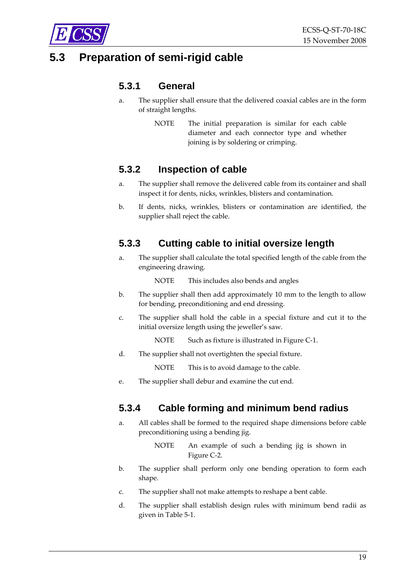<span id="page-18-0"></span>

## **5.3 Preparation of semi-rigid cable**

#### **5.3.1 General**

- a. The supplier shall ensure that the delivered coaxial cables are in the form of straight lengths.
	- NOTE The initial preparation is similar for each cable diameter and each connector type and whether joining is by soldering or crimping.

#### **5.3.2 Inspection of cable**

- a. The supplier shall remove the delivered cable from its container and shall inspect it for dents, nicks, wrinkles, blisters and contamination.
- b. If dents, nicks, wrinkles, blisters or contamination are identified, the supplier shall reject the cable.

#### <span id="page-18-1"></span>**5.3.3 Cutting cable to initial oversize length**

a. The supplier shall calculate the total specified length of the cable from the engineering drawing.

NOTE This includes also bends and angles

- b. The supplier shall then add approximately 10 mm to the length to allow for bending, preconditioning and end dressing.
- c. The supplier shall hold the cable in a special fixture and cut it to the initial oversize length using the jeweller's saw.
	- NOTE Such as fixture is illustrated in [Figure](#page-37-1) C-1.
- d. The supplier shall not overtighten the special fixture.

NOTE This is to avoid damage to the cable.

e. The supplier shall debur and examine the cut end.

#### **5.3.4 Cable forming and minimum bend radius**

a. All cables shall be formed to the required shape dimensions before cable preconditioning using a bending jig.

> NOTE An example of such a bending jig is shown in [Figure](#page-38-1) C‐2.

- b. The supplier shall perform only one bending operation to form each shape.
- c. The supplier shall not make attempts to reshape a bent cable.
- d. The supplier shall establish design rules with minimum bend radii as given in [Table](#page-19-1) 5‐1.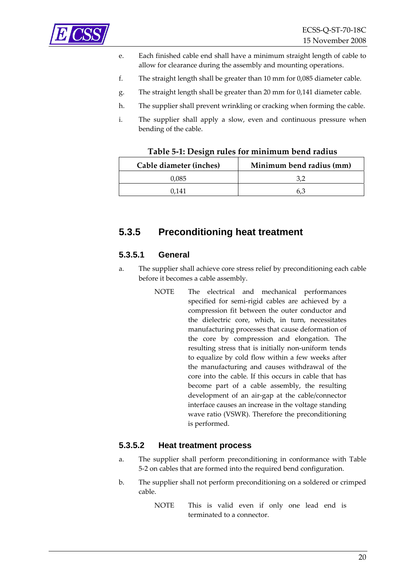<span id="page-19-0"></span>

- e. Each finished cable end shall have a minimum straight length of cable to allow for clearance during the assembly and mounting operations.
- f. The straight length shall be greater than 10 mm for 0,085 diameter cable.
- g. The straight length shall be greater than 20 mm for 0,141 diameter cable.
- h. The supplier shall prevent wrinkling or cracking when forming the cable.
- i. The supplier shall apply a slow, even and continuous pressure when bending of the cable.

| Table 5-1: Design rules for minimum bend radius |
|-------------------------------------------------|
|                                                 |

<span id="page-19-1"></span>

| Cable diameter (inches) | Minimum bend radius (mm) |
|-------------------------|--------------------------|
| 0.085                   |                          |
| 1141                    |                          |

#### <span id="page-19-2"></span>**5.3.5 Preconditioning heat treatment**

#### **5.3.5.1 General**

- a. The supplier shall achieve core stress relief by preconditioning each cable before it becomes a cable assembly.
	- NOTE The electrical and mechanical performances specified for semi‐rigid cables are achieved by a compression fit between the outer conductor and the dielectric core, which, in turn, necessitates manufacturing processes that cause deformation of the core by compression and elongation. The resulting stress that is initially non‐uniform tends to equalize by cold flow within a few weeks after the manufacturing and causes withdrawal of the core into the cable. If this occurs in cable that has become part of a cable assembly, the resulting development of an air‐gap at the cable/connector interface causes an increase in the voltage standing wave ratio (VSWR). Therefore the preconditioning is performed.

#### **5.3.5.2 Heat treatment process**

- a. The supplier shall perform preconditioning in conformance with [Table](#page-20-1) 5‐[2](#page-20-1) on cables that are formed into the required bend configuration.
- b. The supplier shall not perform preconditioning on a soldered or crimped cable.
	- NOTE This is valid even if only one lead end is terminated to a connector.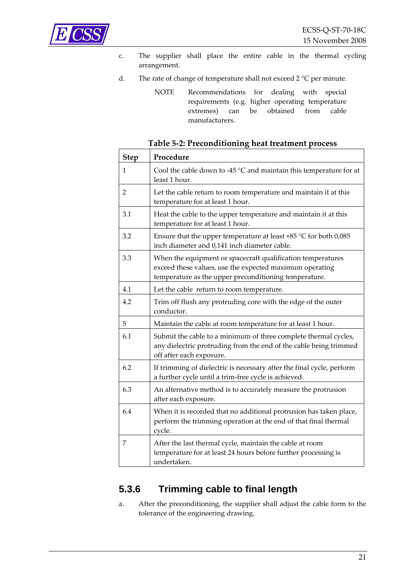<span id="page-20-0"></span>

- c. The supplier shall place the entire cable in the thermal cycling arrangement.
- d. The rate of change of temperature shall not exceed 2 °C per minute.
	- NOTE Recommendations for dealing with special requirements (e.g. higher operating temperature extremes) can be obtained from cable manufacturers.

<span id="page-20-1"></span>

| <b>Step</b>    | Procedure                                                                                                                                                                       |
|----------------|---------------------------------------------------------------------------------------------------------------------------------------------------------------------------------|
| 1              | Cool the cable down to -45 $\degree$ C and maintain this temperature for at<br>least 1 hour.                                                                                    |
| $\overline{2}$ | Let the cable return to room temperature and maintain it at this<br>temperature for at least 1 hour.                                                                            |
| 3.1            | Heat the cable to the upper temperature and maintain it at this<br>temperature for at least 1 hour.                                                                             |
| 3.2            | Ensure that the upper temperature at least +85 $\degree$ C for both 0,085<br>inch diameter and 0,141 inch diameter cable.                                                       |
| 3.3            | When the equipment or spacecraft qualification temperatures<br>exceed these values, use the expected maximum operating<br>temperature as the upper preconditioning temperature. |
| 4.1            | Let the cable return to room temperature.                                                                                                                                       |
| 4.2            | Trim off flush any protruding core with the edge of the outer<br>conductor.                                                                                                     |
| 5              | Maintain the cable at room temperature for at least 1 hour.                                                                                                                     |
| 6.1            | Submit the cable to a minimum of three complete thermal cycles,<br>any dielectric protruding from the end of the cable being trimmed<br>off after each exposure.                |
| 6.2            | If trimming of dielectric is necessary after the final cycle, perform<br>a further cycle until a trim-free cycle is achieved.                                                   |
| 6.3            | An alternative method is to accurately measure the protrusion<br>after each exposure.                                                                                           |
| 6.4            | When it is recorded that no additional protrusion has taken place,<br>perform the trimming operation at the end of that final thermal<br>cycle.                                 |
| 7              | After the last thermal cycle, maintain the cable at room<br>temperature for at least 24 hours before further processing is<br>undertaken.                                       |

#### **Table 5‐2: Preconditioning heat treatment process**

### **5.3.6 Trimming cable to final length**

a. After the preconditioning, the supplier shall adjust the cable form to the tolerance of the engineering drawing.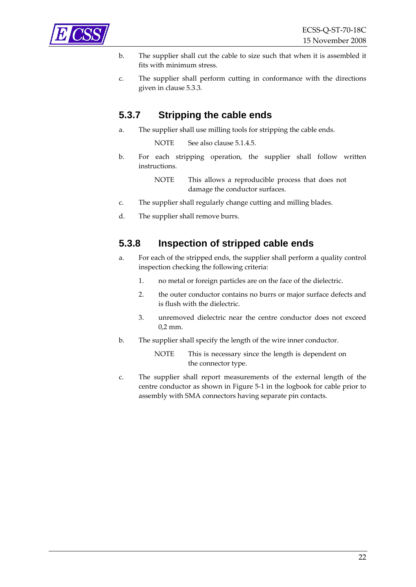<span id="page-21-0"></span>

- b. The supplier shall cut the cable to size such that when it is assembled it fits with minimum stress.
- c. The supplier shall perform cutting in conformance with the directions given in clause [5.3.3.](#page-18-1)

#### **5.3.7 Stripping the cable ends**

a. The supplier shall use milling tools for stripping the cable ends.

NOTE See also clause [5.1.4.5](#page-14-0).

b. For each stripping operation, the supplier shall follow written instructions.

> NOTE This allows a reproducible process that does not damage the conductor surfaces.

- c. The supplier shall regularly change cutting and milling blades.
- d. The supplier shall remove burrs.

#### **5.3.8 Inspection of stripped cable ends**

- a. For each of the stripped ends, the supplier shall perform a quality control inspection checking the following criteria:
	- 1. no metal or foreign particles are on the face of the dielectric.
	- 2. the outer conductor contains no burrs or major surface defects and is flush with the dielectric.
	- 3. unremoved dielectric near the centre conductor does not exceed 0,2 mm.
- b. The supplier shall specify the length of the wire inner conductor.

NOTE This is necessary since the length is dependent on the connector type.

c. The supplier shall report measurements of the external length of the centre conductor as shown in [Figure](#page-22-1) 5‐1 in the logbook for cable prior to assembly with SMA connectors having separate pin contacts.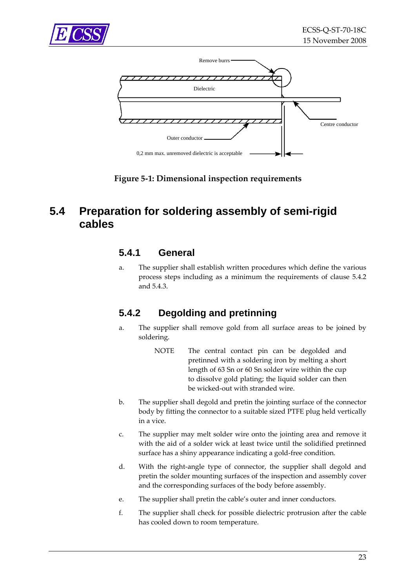<span id="page-22-0"></span>



**Figure 5‐1: Dimensional inspection requirements**

## <span id="page-22-2"></span><span id="page-22-1"></span>**5.4 Preparation for soldering assembly of semi-rigid cables**

#### **5.4.1 General**

a. The supplier shall establish written procedures which define the various process steps including as a minimum the requirements of clause [5.4.2](#page-22-2) and [5.4.3.](#page-23-1)

### **5.4.2 Degolding and pretinning**

- a. The supplier shall remove gold from all surface areas to be joined by soldering.
	- NOTE The central contact pin can be degolded and pretinned with a soldering iron by melting a short length of 63 Sn or 60 Sn solder wire within the cup to dissolve gold plating; the liquid solder can then be wicked‐out with stranded wire.
- b. The supplier shall degold and pretin the jointing surface of the connector body by fitting the connector to a suitable sized PTFE plug held vertically in a vice.
- c. The supplier may melt solder wire onto the jointing area and remove it with the aid of a solder wick at least twice until the solidified pretinned surface has a shiny appearance indicating a gold‐free condition.
- d. With the right‐angle type of connector, the supplier shall degold and pretin the solder mounting surfaces of the inspection and assembly cover and the corresponding surfaces of the body before assembly.
- e. The supplier shall pretin the cable's outer and inner conductors.
- f. The supplier shall check for possible dielectric protrusion after the cable has cooled down to room temperature.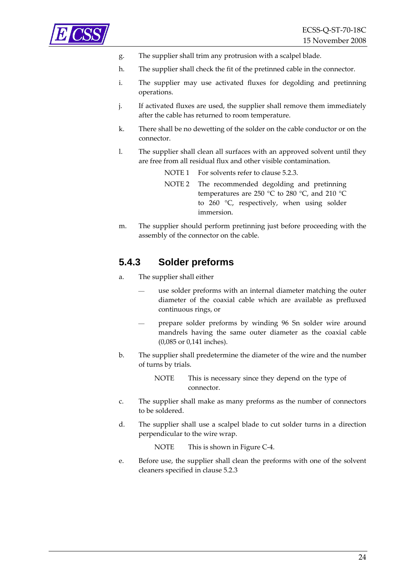<span id="page-23-0"></span>

- g. The supplier shall trim any protrusion with a scalpel blade.
- h. The supplier shall check the fit of the pretinned cable in the connector.
- i. The supplier may use activated fluxes for degolding and pretinning operations.
- j. If activated fluxes are used, the supplier shall remove them immediately after the cable has returned to room temperature.
- k. There shall be no dewetting of the solder on the cable conductor or on the connector.
- l. The supplier shall clean all surfaces with an approved solvent until they are free from all residual flux and other visible contamination.

| NOTE 1 For solvents refer to clause 5.2.3.                                                                                                                     |
|----------------------------------------------------------------------------------------------------------------------------------------------------------------|
| NOTE 2 The recommended degolding and pretinning<br>temperatures are 250 °C to 280 °C, and 210 °C<br>to $260$ °C, respectively, when using solder<br>immersion. |
|                                                                                                                                                                |

m. The supplier should perform pretinning just before proceeding with the assembly of the connector on the cable.

#### <span id="page-23-1"></span>**5.4.3 Solder preforms**

- a. The supplier shall either
	- use solder preforms with an internal diameter matching the outer diameter of the coaxial cable which are available as prefluxed continuous rings, or
	- prepare solder preforms by winding 96 Sn solder wire around mandrels having the same outer diameter as the coaxial cable (0,085 or 0,141 inches).
- b. The supplier shall predetermine the diameter of the wire and the number of turns by trials.
	- NOTE This is necessary since they depend on the type of connector.
- c. The supplier shall make as many preforms as the number of connectors to be soldered.
- d. The supplier shall use a scalpel blade to cut solder turns in a direction perpendicular to the wire wrap.

NOTE This is shown in [Figure](#page-40-1) C-4.

e. Before use, the supplier shall clean the preforms with one of the solvent cleaners specified in clause [5.2.3](#page-16-1)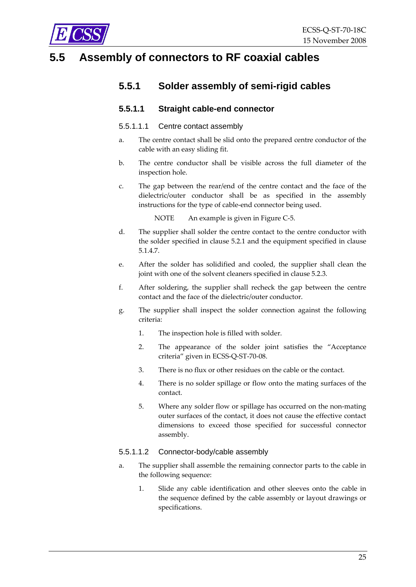<span id="page-24-0"></span>

### **5.5 Assembly of connectors to RF coaxial cables**

#### **5.5.1 Solder assembly of semi-rigid cables**

#### **5.5.1.1 Straight cable-end connector**

#### 5.5.1.1.1 Centre contact assembly

- a. The centre contact shall be slid onto the prepared centre conductor of the cable with an easy sliding fit.
- b. The centre conductor shall be visible across the full diameter of the inspection hole.
- c. The gap between the rear/end of the centre contact and the face of the dielectric/outer conductor shall be as specified in the assembly instructions for the type of cable‐end connector being used.

NOTE An example is given in [Figure](#page-40-2) C-5.

- d. The supplier shall solder the centre contact to the centre conductor with the solder specified in clause [5.2.1](#page-15-1) and the equipment specified in clause [5.1.4.7](#page-14-1).
- e. After the solder has solidified and cooled, the supplier shall clean the joint with one of the solvent cleaners specified in clause [5.2.3](#page-16-1).
- f. After soldering, the supplier shall recheck the gap between the centre contact and the face of the dielectric/outer conductor.
- g. The supplier shall inspect the solder connection against the following criteria:
	- 1. The inspection hole is filled with solder.
	- 2. The appearance of the solder joint satisfies the "Acceptance criteria" given in ECSS‐Q‐ST‐70‐08.
	- 3. There is no flux or other residues on the cable or the contact.
	- 4. There is no solder spillage or flow onto the mating surfaces of the contact.
	- 5. Where any solder flow or spillage has occurred on the non-mating outer surfaces of the contact, it does not cause the effective contact dimensions to exceed those specified for successful connector assembly.

#### 5.5.1.1.2 Connector-body/cable assembly

- a. The supplier shall assemble the remaining connector parts to the cable in the following sequence:
	- 1. Slide any cable identification and other sleeves onto the cable in the sequence defined by the cable assembly or layout drawings or specifications.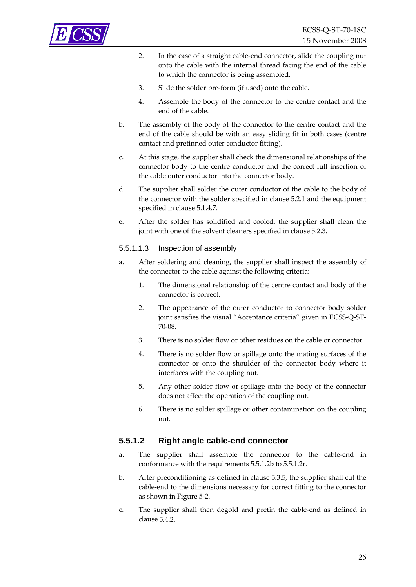

- 2. In the case of a straight cable‐end connector, slide the coupling nut onto the cable with the internal thread facing the end of the cable to which the connector is being assembled.
- 3. Slide the solder pre‐form (if used) onto the cable.
- 4. Assemble the body of the connector to the centre contact and the end of the cable.
- b. The assembly of the body of the connector to the centre contact and the end of the cable should be with an easy sliding fit in both cases (centre contact and pretinned outer conductor fitting).
- c. At this stage, the supplier shall check the dimensional relationships of the connector body to the centre conductor and the correct full insertion of the cable outer conductor into the connector body.
- d. The supplier shall solder the outer conductor of the cable to the body of the connector with the solder specified in clause [5.2.1](#page-15-1) and the equipment specified in clause [5.1.4.7](#page-14-1).
- e. After the solder has solidified and cooled, the supplier shall clean the joint with one of the solvent cleaners specified in clause [5.2.3](#page-16-1).

#### 5.5.1.1.3 Inspection of assembly

- a. After soldering and cleaning, the supplier shall inspect the assembly of the connector to the cable against the following criteria:
	- 1. The dimensional relationship of the centre contact and body of the connector is correct.
	- 2. The appearance of the outer conductor to connector body solder joint satisfies the visual "Acceptance criteria" given in ECSS‐Q‐ST‐ 70‐08.
	- 3. There is no solder flow or other residues on the cable or connector.
	- 4. There is no solder flow or spillage onto the mating surfaces of the connector or onto the shoulder of the connector body where it interfaces with the coupling nut.
	- 5. Any other solder flow or spillage onto the body of the connector does not affect the operation of the coupling nut.
	- 6. There is no solder spillage or other contamination on the coupling nut.

#### <span id="page-25-0"></span>**5.5.1.2 Right angle cable-end connector**

- a. The supplier shall assemble the connector to the cable-end in conformance with the requirements [5.5.1.2](#page-25-0)[b](#page-25-1) to [5.5.1.2](#page-25-0)[r](#page-26-0).
- <span id="page-25-1"></span>b. After preconditioning as defined in clause [5.3.5,](#page-19-2) the supplier shall cut the cable‐end to the dimensions necessary for correct fitting to the connector as shown in [Figure](#page-27-0) 5‐2.
- c. The supplier shall then degold and pretin the cable‐end as defined in clause [5.4.2.](#page-22-2)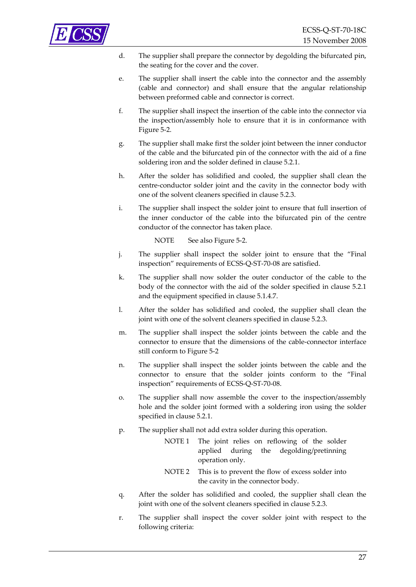

- d. The supplier shall prepare the connector by degolding the bifurcated pin, the seating for the cover and the cover.
- e. The supplier shall insert the cable into the connector and the assembly (cable and connector) and shall ensure that the angular relationship between preformed cable and connector is correct.
- f. The supplier shall inspect the insertion of the cable into the connector via the inspection/assembly hole to ensure that it is in conformance with [Figure](#page-27-0) 5‐2.
- g. The supplier shall make first the solder joint between the inner conductor of the cable and the bifurcated pin of the connector with the aid of a fine soldering iron and the solder defined in clause [5.2.1.](#page-15-1)
- h. After the solder has solidified and cooled, the supplier shall clean the centre‐conductor solder joint and the cavity in the connector body with one of the solvent cleaners specified in clause [5.2.3](#page-16-1).
- i. The supplier shall inspect the solder joint to ensure that full insertion of the inner conductor of the cable into the bifurcated pin of the centre conductor of the connector has taken place.

NOTE See also [Figure](#page-27-0) 5-2.

- j. The supplier shall inspect the solder joint to ensure that the "Final inspection" requirements of ECSS‐Q‐ST‐70‐08 are satisfied.
- k. The supplier shall now solder the outer conductor of the cable to the body of the connector with the aid of the solder specified in clause [5.2.1](#page-15-1) and the equipment specified in clause [5.1.4.7.](#page-14-1)
- l. After the solder has solidified and cooled, the supplier shall clean the joint with one of the solvent cleaners specified in clause [5.2.3](#page-16-1).
- m. The supplier shall inspect the solder joints between the cable and the connector to ensure that the dimensions of the cable‐connector interface still conform to [Figure](#page-27-0) 5‐2
- n. The supplier shall inspect the solder joints between the cable and the connector to ensure that the solder joints conform to the "Final inspection" requirements of ECSS‐Q‐ST‐70‐08.
- o. The supplier shall now assemble the cover to the inspection/assembly hole and the solder joint formed with a soldering iron using the solder specified in clause [5.2.1.](#page-15-1)
- p. The supplier shall not add extra solder during this operation.
	- NOTE 1 The joint relies on reflowing of the solder applied during the degolding/pretinning operation only.
	- NOTE 2 This is to prevent the flow of excess solder into the cavity in the connector body.
- q. After the solder has solidified and cooled, the supplier shall clean the joint with one of the solvent cleaners specified in clause [5.2.3](#page-16-1).
- <span id="page-26-0"></span>r. The supplier shall inspect the cover solder joint with respect to the following criteria: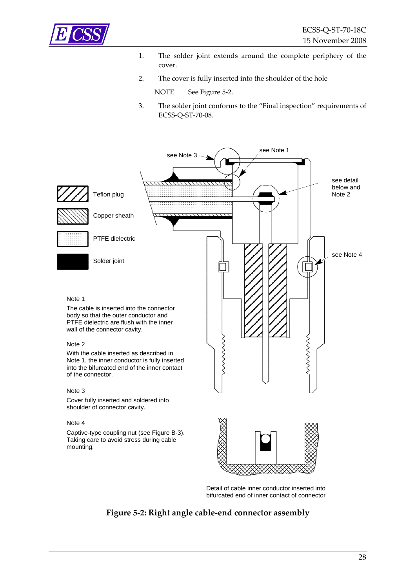

- 1. The solder joint extends around the complete periphery of the cover.
- 2. The cover is fully inserted into the shoulder of the hole

NOTE See [Figure](#page-27-0) 5-2.

3. The solder joint conforms to the "Final inspection" requirements of ECSS‐Q‐ST‐70‐08.



#### Note 4

<span id="page-27-0"></span>Captive-type coupling nut (see Figure B-3). Taking care to avoid stress during cable mounting.



Detail of cable inner conductor inserted into bifurcated end of inner contact of connector

#### **Figure 5‐2: Right angle cable‐end connector assembly**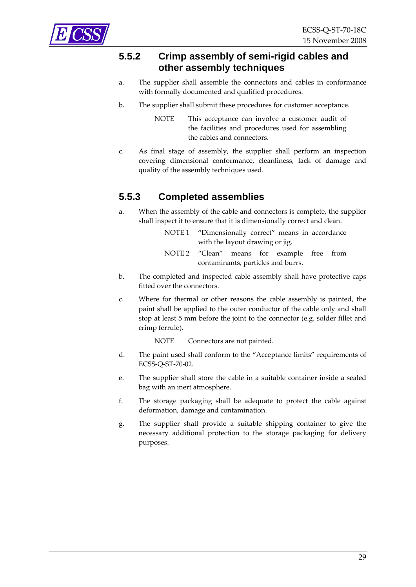<span id="page-28-0"></span>

#### **5.5.2 Crimp assembly of semi-rigid cables and other assembly techniques**

- a. The supplier shall assemble the connectors and cables in conformance with formally documented and qualified procedures.
- b. The supplier shall submit these procedures for customer acceptance.
	- NOTE This acceptance can involve a customer audit of the facilities and procedures used for assembling the cables and connectors.
- c. As final stage of assembly, the supplier shall perform an inspection covering dimensional conformance, cleanliness, lack of damage and quality of the assembly techniques used.

### **5.5.3 Completed assemblies**

- a. When the assembly of the cable and connectors is complete, the supplier shall inspect it to ensure that it is dimensionally correct and clean.
	- NOTE 1 "Dimensionally correct" means in accordance with the layout drawing or jig.
	- NOTE 2 "Clean" means for example free from contaminants, particles and burrs.
- b. The completed and inspected cable assembly shall have protective caps fitted over the connectors.
- c. Where for thermal or other reasons the cable assembly is painted, the paint shall be applied to the outer conductor of the cable only and shall stop at least 5 mm before the joint to the connector (e.g. solder fillet and crimp ferrule).

NOTE Connectors are not painted.

- d. The paint used shall conform to the "Acceptance limits" requirements of ECSS‐Q‐ST‐70‐02.
- e. The supplier shall store the cable in a suitable container inside a sealed bag with an inert atmosphere.
- f. The storage packaging shall be adequate to protect the cable against deformation, damage and contamination.
- g. The supplier shall provide a suitable shipping container to give the necessary additional protection to the storage packaging for delivery purposes.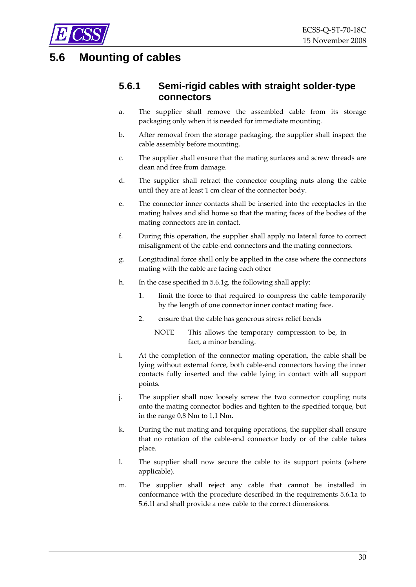<span id="page-29-0"></span>

## <span id="page-29-5"></span><span id="page-29-3"></span><span id="page-29-2"></span>**5.6 Mounting of cables**

#### **5.6.1 Semi-rigid cables with straight solder-type connectors**

- a. The supplier shall remove the assembled cable from its storage packaging only when it is needed for immediate mounting.
- b. After removal from the storage packaging, the supplier shall inspect the cable assembly before mounting.
- c. The supplier shall ensure that the mating surfaces and screw threads are clean and free from damage.
- d. The supplier shall retract the connector coupling nuts along the cable until they are at least 1 cm clear of the connector body.
- e. The connector inner contacts shall be inserted into the receptacles in the mating halves and slid home so that the mating faces of the bodies of the mating connectors are in contact.
- f. During this operation, the supplier shall apply no lateral force to correct misalignment of the cable‐end connectors and the mating connectors.
- <span id="page-29-1"></span>g. Longitudinal force shall only be applied in the case where the connectors mating with the cable are facing each other
- h. In the case specified in [5.6.1g](#page-29-1), the following shall apply:
	- 1. limit the force to that required to compress the cable temporarily by the length of one connector inner contact mating face.
	- 2. ensure that the cable has generous stress relief bends
		- NOTE This allows the temporary compression to be, in fact, a minor bending.
- i. At the completion of the connector mating operation, the cable shall be lying without external force, both cable‐end connectors having the inner contacts fully inserted and the cable lying in contact with all support points.
- j. The supplier shall now loosely screw the two connector coupling nuts onto the mating connector bodies and tighten to the specified torque, but in the range 0,8 Nm to 1,1 Nm.
- k. During the nut mating and torquing operations, the supplier shall ensure that no rotation of the cable‐end connector body or of the cable takes place.
- <span id="page-29-4"></span>l. The supplier shall now secure the cable to its support points (where applicable).
- m. The supplier shall reject any cable that cannot be installed in conformance with the procedure described in the requirements [5.6.1](#page-29-2)[a](#page-29-3) to [5.6.1](#page-29-2)[l](#page-29-4) and shall provide a new cable to the correct dimensions.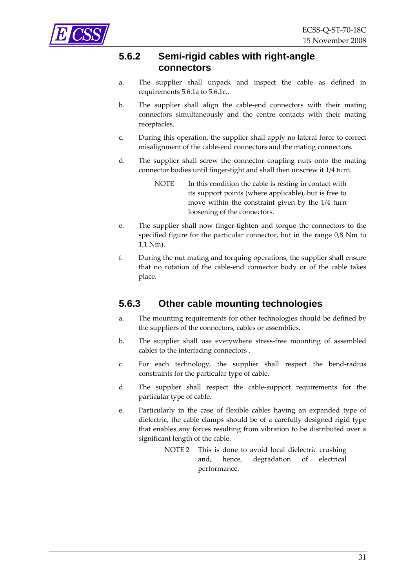<span id="page-30-0"></span>

#### **5.6.2 Semi-rigid cables with right-angle connectors**

- a. The supplier shall unpack and inspect the cable as defined in requirements [5.6.1a](#page-29-3) to [5.6.1c](#page-29-5)..
- b. The supplier shall align the cable‐end connectors with their mating connectors simultaneously and the centre contacts with their mating receptacles.
- c. During this operation, the supplier shall apply no lateral force to correct misalignment of the cable‐end connectors and the mating connectors.
- d. The supplier shall screw the connector coupling nuts onto the mating connector bodies until finger-tight and shall then unscrew it 1/4 turn.
	- NOTE In this condition the cable is resting in contact with its support points (where applicable), but is free to move within the constraint given by the 1/4 turn loosening of the connectors.
- e. The supplier shall now finger‐tighten and torque the connectors to the specified figure for the particular connector, but in the range 0,8 Nm to 1,1 Nm).
- f. During the nut mating and torquing operations, the supplier shall ensure that no rotation of the cable‐end connector body or of the cable takes place.

#### <span id="page-30-1"></span>**5.6.3 Other cable mounting technologies**

- a. The mounting requirements for other technologies should be defined by the suppliers of the connectors, cables or assemblies.
- b. The supplier shall use everywhere stress‐free mounting of assembled cables to the interfacing connectors .
- c. For each technology, the supplier shall respect the bend‐radius constraints for the particular type of cable.
- d. The supplier shall respect the cable‐support requirements for the particular type of cable.
- e. Particularly in the case of flexible cables having an expanded type of dielectric, the cable clamps should be of a carefully designed rigid type that enables any forces resulting from vibration to be distributed over a significant length of the cable.
	- NOTE 2 This is done to avoid local dielectric crushing and, hence, degradation of electrical performance.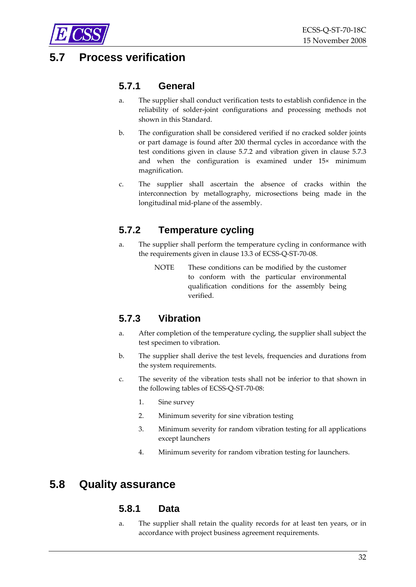<span id="page-31-0"></span>

### <span id="page-31-2"></span>**5.7 Process verification**

#### **5.7.1 General**

- a. The supplier shall conduct verification tests to establish confidence in the reliability of solder‐joint configurations and processing methods not shown in this Standard.
- b. The configuration shall be considered verified if no cracked solder joints or part damage is found after 200 thermal cycles in accordance with the test conditions given in clause [5.7.2](#page-31-3) and vibration given in clause [5.7.3](#page-31-4) and when the configuration is examined under 15× minimum magnification.
- c. The supplier shall ascertain the absence of cracks within the interconnection by metallography, microsections being made in the longitudinal mid‐plane of the assembly.

### <span id="page-31-3"></span>**5.7.2 Temperature cycling**

- a. The supplier shall perform the temperature cycling in conformance with the requirements given in clause 13.3 of ECSS‐Q‐ST‐70‐08.
	- NOTE These conditions can be modified by the customer to conform with the particular environmental qualification conditions for the assembly being verified.

### <span id="page-31-4"></span>**5.7.3 Vibration**

- a. After completion of the temperature cycling, the supplier shall subject the test specimen to vibration.
- b. The supplier shall derive the test levels, frequencies and durations from the system requirements.
- c. The severity of the vibration tests shall not be inferior to that shown in the following tables of ECSS‐Q‐ST‐70‐08:
	- 1. Sine survey
	- 2. Minimum severity for sine vibration testing
	- 3. Minimum severity for random vibration testing for all applications except launchers
	- 4. Minimum severity for random vibration testing for launchers.

### <span id="page-31-1"></span>**5.8 Quality assurance**

#### **5.8.1 Data**

a. The supplier shall retain the quality records for at least ten years, or in accordance with project business agreement requirements.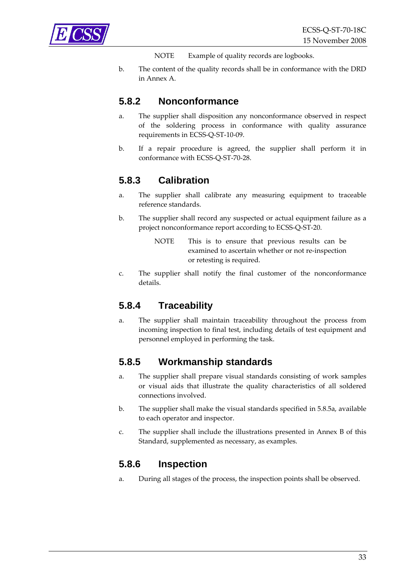<span id="page-32-2"></span><span id="page-32-0"></span>

NOTE Example of quality records are logbooks.

b. The content of the quality records shall be in conformance with the DRD in [Annex](#page-34-1) A.

#### **5.8.2 Nonconformance**

- a. The supplier shall disposition any nonconformance observed in respect of the soldering process in conformance with quality assurance requirements in ECSS‐Q‐ST‐10‐09.
- b. If a repair procedure is agreed, the supplier shall perform it in conformance with ECSS‐Q‐ST‐70‐28.

#### **5.8.3 Calibration**

- a. The supplier shall calibrate any measuring equipment to traceable reference standards.
- b. The supplier shall record any suspected or actual equipment failure as a project nonconformance report according to ECSS‐Q‐ST‐20.
	- NOTE This is to ensure that previous results can be examined to ascertain whether or not re‐inspection or retesting is required.
- c. The supplier shall notify the final customer of the nonconformance details.

#### **5.8.4 Traceability**

a. The supplier shall maintain traceability throughout the process from incoming inspection to final test, including details of test equipment and personnel employed in performing the task.

#### **5.8.5 Workmanship standards**

- <span id="page-32-1"></span>a. The supplier shall prepare visual standards consisting of work samples or visual aids that illustrate the quality characteristics of all soldered connections involved.
- b. The supplier shall make the visual standards specified in [5.8.5a,](#page-32-1) available to each operator and inspector.
- <span id="page-32-3"></span>c. The supplier shall include the illustrations presented in [Annex](#page-35-1) B of this Standard, supplemented as necessary, as examples.

#### **5.8.6 Inspection**

a. During all stages of the process, the inspection points shall be observed.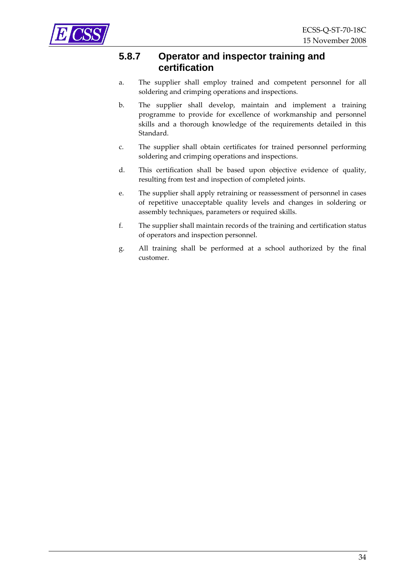<span id="page-33-0"></span>

#### **5.8.7 Operator and inspector training and certification**

- a. The supplier shall employ trained and competent personnel for all soldering and crimping operations and inspections.
- b. The supplier shall develop, maintain and implement a training programme to provide for excellence of workmanship and personnel skills and a thorough knowledge of the requirements detailed in this Standard.
- c. The supplier shall obtain certificates for trained personnel performing soldering and crimping operations and inspections.
- d. This certification shall be based upon objective evidence of quality, resulting from test and inspection of completed joints.
- e. The supplier shall apply retraining or reassessment of personnel in cases of repetitive unacceptable quality levels and changes in soldering or assembly techniques, parameters or required skills.
- f. The supplier shall maintain records of the training and certification status of operators and inspection personnel.
- g. All training shall be performed at a school authorized by the final customer.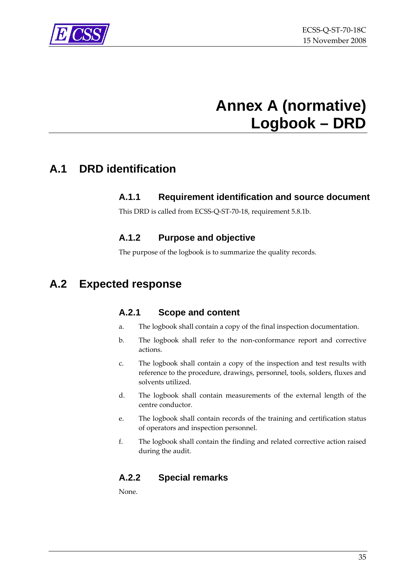<span id="page-34-0"></span>

## **Annex A (normative) Logbook – DRD**

## <span id="page-34-1"></span>**A.1 DRD identification**

#### **A.1.1 Requirement identification and source document**

This DRD is called from ECSS‐Q‐ST‐70‐18, requirement [5.8.1b.](#page-32-2)

#### **A.1.2 Purpose and objective**

The purpose of the logbook is to summarize the quality records.

### **A.2 Expected response**

#### **A.2.1 Scope and content**

- a. The logbook shall contain a copy of the final inspection documentation.
- b. The logbook shall refer to the non‐conformance report and corrective actions.
- c. The logbook shall contain a copy of the inspection and test results with reference to the procedure, drawings, personnel, tools, solders, fluxes and solvents utilized.
- d. The logbook shall contain measurements of the external length of the centre conductor.
- e. The logbook shall contain records of the training and certification status of operators and inspection personnel.
- f. The logbook shall contain the finding and related corrective action raised during the audit.

#### **A.2.2 Special remarks**

None.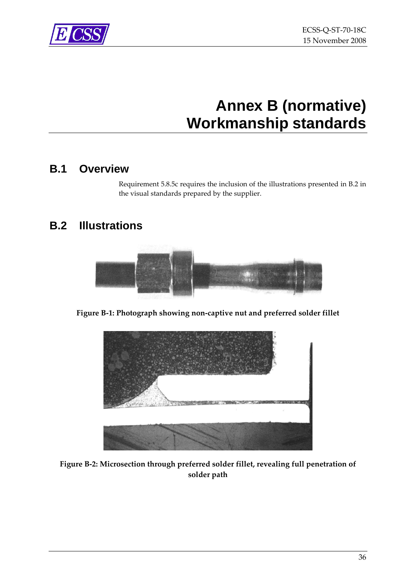<span id="page-35-0"></span>

## **Annex B (normative) Workmanship standards**

### <span id="page-35-1"></span>**B.1 Overview**

Requirement [5.8.5c](#page-32-3) requires the inclusion of the illustrations presented in [B.2](#page-35-2) in the visual standards prepared by the supplier.

## <span id="page-35-2"></span>**B.2 Illustrations**



**Figure B‐1: Photograph showing non‐captive nut and preferred solder fillet**



**Figure B‐2: Microsection through preferred solder fillet, revealing full penetration of solder path**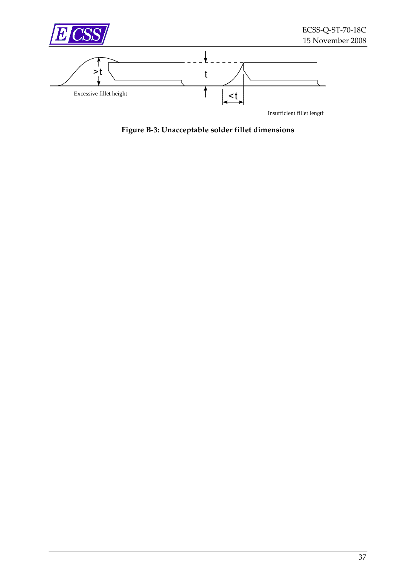<span id="page-36-0"></span>

**Figure B‐3: Unacceptable solder fillet dimensions**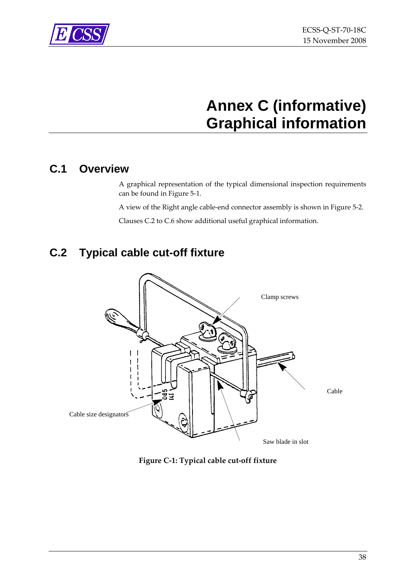<span id="page-37-0"></span>

## **Annex C (informative) Graphical information**

## **C.1 Overview**

A graphical representation of the typical dimensional inspection requirements can be found in [Figure](#page-22-1) 5‐1.

A view of the Right angle cable‐end connector assembly is shown in [Figure](#page-27-0) 5‐2.

Clauses [C.2](#page-37-2) to [C.6](#page-40-3) show additional useful graphical information.

## <span id="page-37-2"></span>**C.2 Typical cable cut-off fixture**



<span id="page-37-1"></span>**Figure C‐1: Typical cable cut‐off fixture**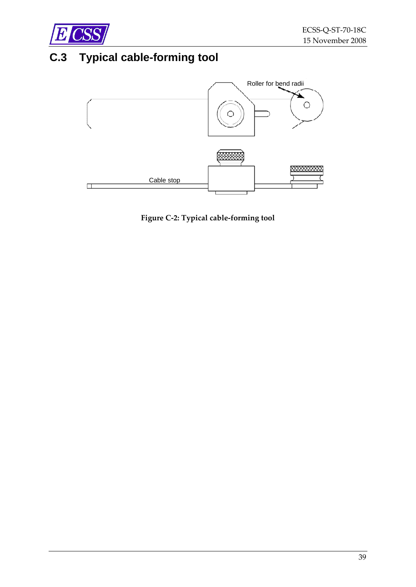<span id="page-38-0"></span>

## **C.3 Typical cable-forming tool**



<span id="page-38-1"></span>**Figure C‐2: Typical cable‐forming tool**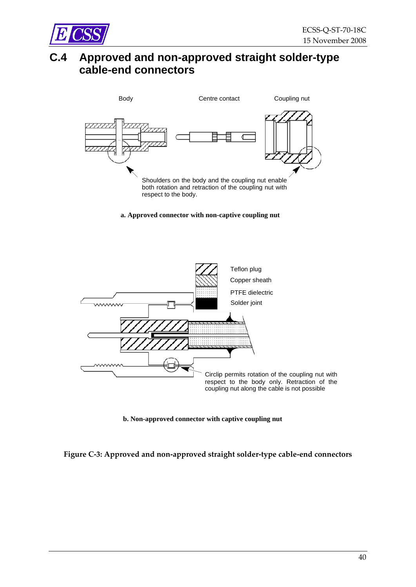<span id="page-39-0"></span>

## **C.4 Approved and non-approved straight solder-type cable-end connectors**



#### **a. Approved connector with non-captive coupling nut**



**b. Non-approved connector with captive coupling nut**

<span id="page-39-1"></span>**Figure C‐3: Approved and non‐approved straight solder‐type cable‐end connectors**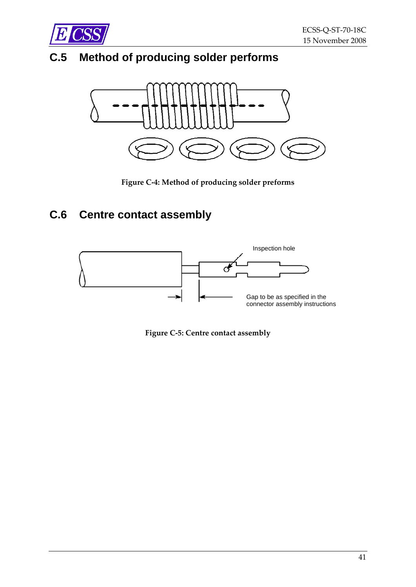<span id="page-40-0"></span>

## **C.5 Method of producing solder performs**



**Figure C‐4: Method of producing solder preforms**

## <span id="page-40-3"></span><span id="page-40-1"></span>**C.6 Centre contact assembly**

<span id="page-40-2"></span>

**Figure C‐5: Centre contact assembly**